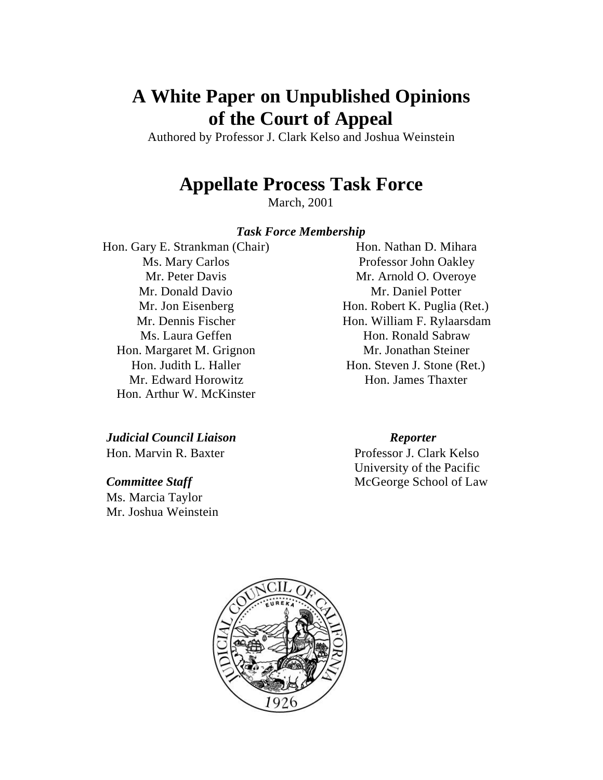# **A White Paper on Unpublished Opinions of the Court of Appeal**

Authored by Professor J. Clark Kelso and Joshua Weinstein

## **Appellate Process Task Force**

March, 2001

#### *Task Force Membership*

Hon. Gary E. Strankman (Chair) Ms. Mary Carlos Mr. Peter Davis Mr. Donald Davio Mr. Jon Eisenberg Mr. Dennis Fischer Ms. Laura Geffen Hon. Margaret M. Grignon Hon. Judith L. Haller Mr. Edward Horowitz Hon. Arthur W. McKinster

*Judicial Council Liaison Reporter* Hon. Marvin R. Baxter Professor J. Clark Kelso

Ms. Marcia Taylor Mr. Joshua Weinstein

Hon. Nathan D. Mihara Professor John Oakley Mr. Arnold O. Overoye Mr. Daniel Potter Hon. Robert K. Puglia (Ret.) Hon. William F. Rylaarsdam Hon. Ronald Sabraw Mr. Jonathan Steiner Hon. Steven J. Stone (Ret.) Hon. James Thaxter

University of the Pacific **Committee Staff** McGeorge School of Law

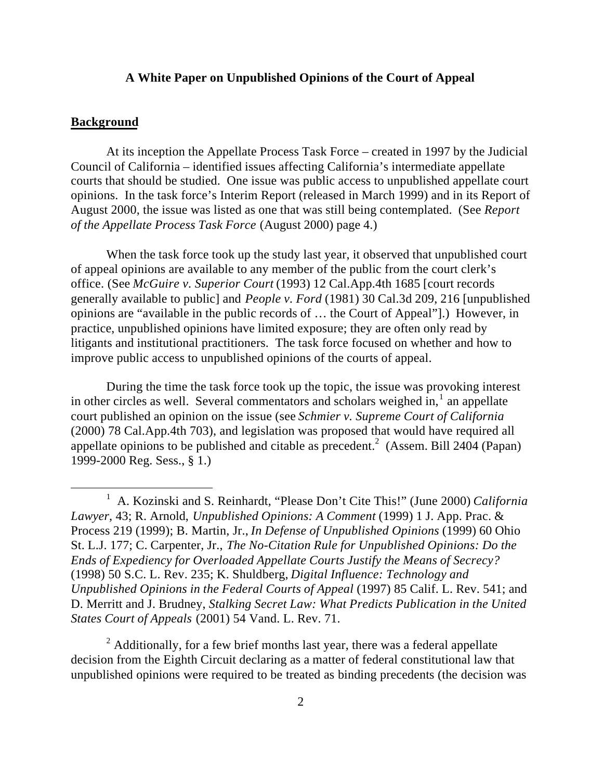### **A White Paper on Unpublished Opinions of the Court of Appeal**

### **Background**

At its inception the Appellate Process Task Force – created in 1997 by the Judicial Council of California – identified issues affecting California's intermediate appellate courts that should be studied. One issue was public access to unpublished appellate court opinions. In the task force's Interim Report (released in March 1999) and in its Report of August 2000, the issue was listed as one that was still being contemplated. (See *Report of the Appellate Process Task Force* (August 2000) page 4.)

When the task force took up the study last year, it observed that unpublished court of appeal opinions are available to any member of the public from the court clerk's office. (See *McGuire v. Superior Court* (1993) 12 Cal.App.4th 1685 [court records generally available to public] and *People v. Ford* (1981) 30 Cal.3d 209, 216 [unpublished opinions are "available in the public records of … the Court of Appeal"].) However, in practice, unpublished opinions have limited exposure; they are often only read by litigants and institutional practitioners. The task force focused on whether and how to improve public access to unpublished opinions of the courts of appeal.

During the time the task force took up the topic, the issue was provoking interest in other circles as well. Several commentators and scholars weighed  $\text{in}$ ,  $\text{1}$  an appellate court published an opinion on the issue (see *Schmier v. Supreme Court of California* (2000) 78 Cal.App.4th 703), and legislation was proposed that would have required all appellate opinions to be published and citable as precedent.<sup>2</sup> (Assem. Bill 2404 (Papan) 1999-2000 Reg. Sess., § 1.)

 $2$  Additionally, for a few brief months last year, there was a federal appellate decision from the Eighth Circuit declaring as a matter of federal constitutional law that unpublished opinions were required to be treated as binding precedents (the decision was

<sup>&</sup>lt;u>1</u> A. Kozinski and S. Reinhardt, "Please Don't Cite This!" (June 2000) *California Lawyer*, 43; R. Arnold, *Unpublished Opinions: A Comment* (1999) 1 J. App. Prac. & Process 219 (1999); B. Martin, Jr., *In Defense of Unpublished Opinions* (1999) 60 Ohio St. L.J. 177; C. Carpenter, Jr., *The No-Citation Rule for Unpublished Opinions: Do the Ends of Expediency for Overloaded Appellate Courts Justify the Means of Secrecy?* (1998) 50 S.C. L. Rev. 235; K. Shuldberg, *Digital Influence: Technology and Unpublished Opinions in the Federal Courts of Appeal* (1997) 85 Calif. L. Rev. 541; and D. Merritt and J. Brudney, *Stalking Secret Law: What Predicts Publication in the United States Court of Appeals* (2001) 54 Vand. L. Rev. 71.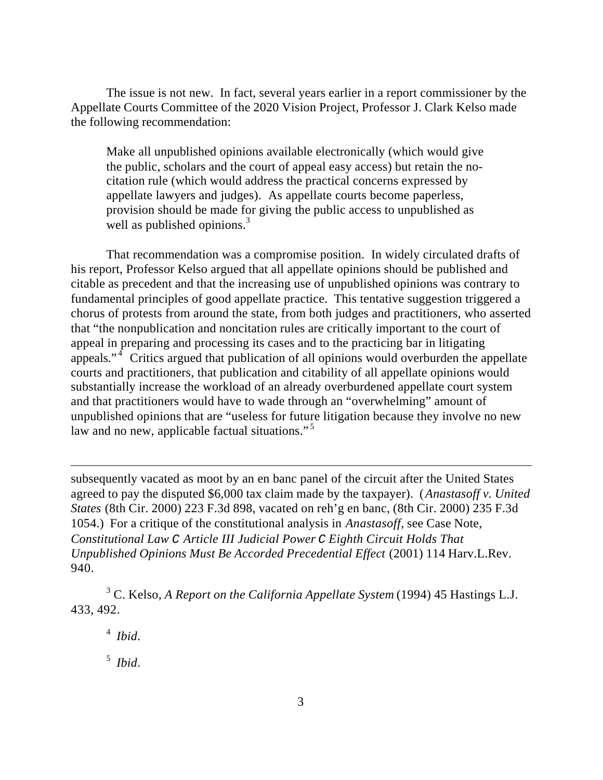The issue is not new. In fact, several years earlier in a report commissioner by the Appellate Courts Committee of the 2020 Vision Project, Professor J. Clark Kelso made the following recommendation:

Make all unpublished opinions available electronically (which would give the public, scholars and the court of appeal easy access) but retain the nocitation rule (which would address the practical concerns expressed by appellate lawyers and judges). As appellate courts become paperless, provision should be made for giving the public access to unpublished as well as published opinions. $3$ 

That recommendation was a compromise position. In widely circulated drafts of his report, Professor Kelso argued that all appellate opinions should be published and citable as precedent and that the increasing use of unpublished opinions was contrary to fundamental principles of good appellate practice. This tentative suggestion triggered a chorus of protests from around the state, from both judges and practitioners, who asserted that "the nonpublication and noncitation rules are critically important to the court of appeal in preparing and processing its cases and to the practicing bar in litigating appeals." <sup>4</sup> Critics argued that publication of all opinions would overburden the appellate courts and practitioners, that publication and citability of all appellate opinions would substantially increase the workload of an already overburdened appellate court system and that practitioners would have to wade through an "overwhelming" amount of unpublished opinions that are "useless for future litigation because they involve no new law and no new, applicable factual situations."<sup>5</sup>

subsequently vacated as moot by an en banc panel of the circuit after the United States agreed to pay the disputed \$6,000 tax claim made by the taxpayer). (*Anastasoff v. United States* (8th Cir. 2000) 223 F.3d 898, vacated on reh'g en banc, (8th Cir. 2000) 235 F.3d 1054.) For a critique of the constitutional analysis in *Anastasoff*, see Case Note, *Constitutional Law C Article III Judicial Power C Eighth Circuit Holds That Unpublished Opinions Must Be Accorded Precedential Effect* (2001) 114 Harv.L.Rev. 940.

3 C. Kelso, *A Report on the California Appellate System* (1994) 45 Hastings L.J. 433, 492.

<sup>4</sup> *Ibid*. 5 *Ibid*.

 $\overline{a}$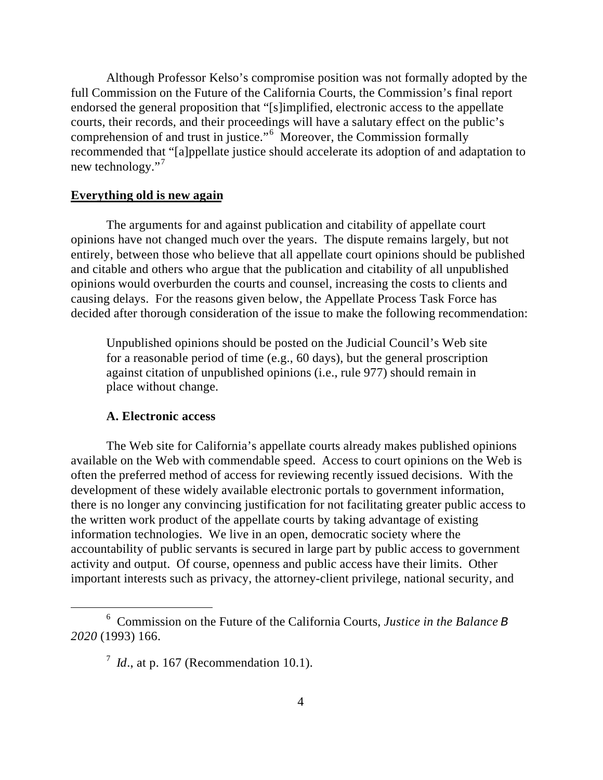Although Professor Kelso's compromise position was not formally adopted by the full Commission on the Future of the California Courts, the Commission's final report endorsed the general proposition that "[s]implified, electronic access to the appellate courts, their records, and their proceedings will have a salutary effect on the public's comprehension of and trust in justice."<sup>6</sup> Moreover, the Commission formally recommended that "[a]ppellate justice should accelerate its adoption of and adaptation to new technology."<sup>7</sup>

### **Everything old is new again**

The arguments for and against publication and citability of appellate court opinions have not changed much over the years. The dispute remains largely, but not entirely, between those who believe that all appellate court opinions should be published and citable and others who argue that the publication and citability of all unpublished opinions would overburden the courts and counsel, increasing the costs to clients and causing delays. For the reasons given below, the Appellate Process Task Force has decided after thorough consideration of the issue to make the following recommendation:

Unpublished opinions should be posted on the Judicial Council's Web site for a reasonable period of time (e.g., 60 days), but the general proscription against citation of unpublished opinions (i.e., rule 977) should remain in place without change.

#### **A. Electronic access**

The Web site for California's appellate courts already makes published opinions available on the Web with commendable speed. Access to court opinions on the Web is often the preferred method of access for reviewing recently issued decisions. With the development of these widely available electronic portals to government information, there is no longer any convincing justification for not facilitating greater public access to the written work product of the appellate courts by taking advantage of existing information technologies. We live in an open, democratic society where the accountability of public servants is secured in large part by public access to government activity and output. Of course, openness and public access have their limits. Other important interests such as privacy, the attorney-client privilege, national security, and

 <sup>6</sup> Commission on the Future of the California Courts, *Justice in the Balance B 2020* (1993) 166.

 $^7$  *Id.*, at p. 167 (Recommendation 10.1).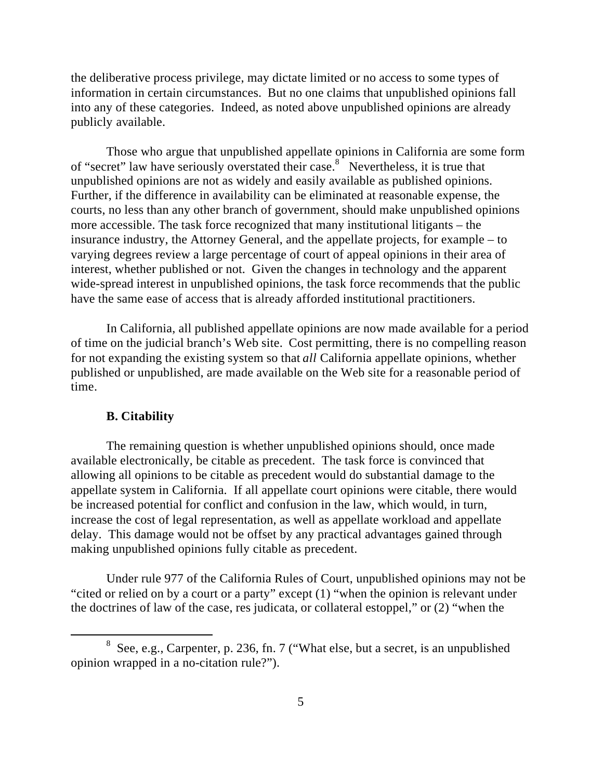the deliberative process privilege, may dictate limited or no access to some types of information in certain circumstances. But no one claims that unpublished opinions fall into any of these categories. Indeed, as noted above unpublished opinions are already publicly available.

Those who argue that unpublished appellate opinions in California are some form of "secret" law have seriously overstated their case.<sup>8</sup> Nevertheless, it is true that unpublished opinions are not as widely and easily available as published opinions. Further, if the difference in availability can be eliminated at reasonable expense, the courts, no less than any other branch of government, should make unpublished opinions more accessible. The task force recognized that many institutional litigants – the insurance industry, the Attorney General, and the appellate projects, for example – to varying degrees review a large percentage of court of appeal opinions in their area of interest, whether published or not. Given the changes in technology and the apparent wide-spread interest in unpublished opinions, the task force recommends that the public have the same ease of access that is already afforded institutional practitioners.

In California, all published appellate opinions are now made available for a period of time on the judicial branch's Web site. Cost permitting, there is no compelling reason for not expanding the existing system so that *all* California appellate opinions, whether published or unpublished, are made available on the Web site for a reasonable period of time.

#### **B. Citability**

The remaining question is whether unpublished opinions should, once made available electronically, be citable as precedent. The task force is convinced that allowing all opinions to be citable as precedent would do substantial damage to the appellate system in California. If all appellate court opinions were citable, there would be increased potential for conflict and confusion in the law, which would, in turn, increase the cost of legal representation, as well as appellate workload and appellate delay. This damage would not be offset by any practical advantages gained through making unpublished opinions fully citable as precedent.

Under rule 977 of the California Rules of Court, unpublished opinions may not be "cited or relied on by a court or a party" except (1) "when the opinion is relevant under the doctrines of law of the case, res judicata, or collateral estoppel," or (2) "when the

 <sup>8</sup>  $8$  See, e.g., Carpenter, p. 236, fn. 7 ("What else, but a secret, is an unpublished opinion wrapped in a no-citation rule?").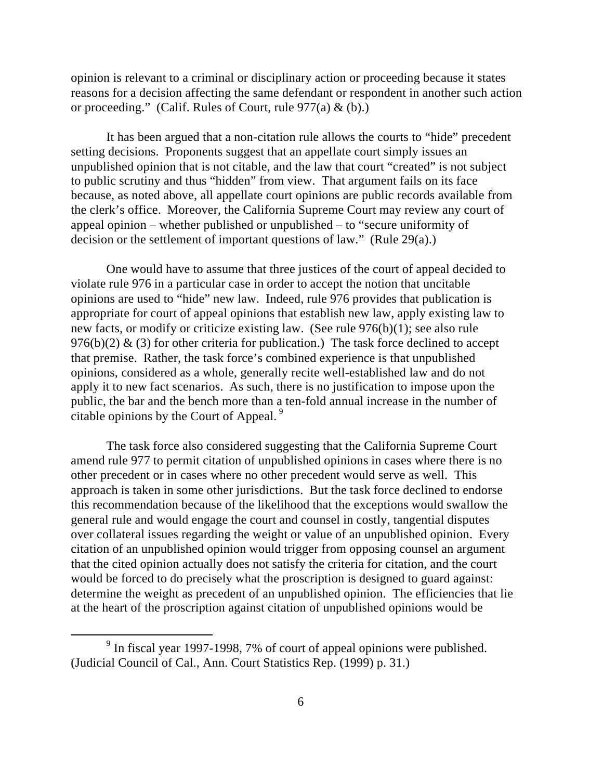opinion is relevant to a criminal or disciplinary action or proceeding because it states reasons for a decision affecting the same defendant or respondent in another such action or proceeding." (Calif. Rules of Court, rule  $977(a) \& (b)$ .)

It has been argued that a non-citation rule allows the courts to "hide" precedent setting decisions. Proponents suggest that an appellate court simply issues an unpublished opinion that is not citable, and the law that court "created" is not subject to public scrutiny and thus "hidden" from view. That argument fails on its face because, as noted above, all appellate court opinions are public records available from the clerk's office. Moreover, the California Supreme Court may review any court of appeal opinion – whether published or unpublished – to "secure uniformity of decision or the settlement of important questions of law." (Rule 29(a).)

One would have to assume that three justices of the court of appeal decided to violate rule 976 in a particular case in order to accept the notion that uncitable opinions are used to "hide" new law. Indeed, rule 976 provides that publication is appropriate for court of appeal opinions that establish new law, apply existing law to new facts, or modify or criticize existing law. (See rule 976(b)(1); see also rule 976(b)(2)  $\&$  (3) for other criteria for publication.) The task force declined to accept that premise. Rather, the task force's combined experience is that unpublished opinions, considered as a whole, generally recite well-established law and do not apply it to new fact scenarios. As such, there is no justification to impose upon the public, the bar and the bench more than a ten-fold annual increase in the number of citable opinions by the Court of Appeal. <sup>9</sup>

The task force also considered suggesting that the California Supreme Court amend rule 977 to permit citation of unpublished opinions in cases where there is no other precedent or in cases where no other precedent would serve as well. This approach is taken in some other jurisdictions. But the task force declined to endorse this recommendation because of the likelihood that the exceptions would swallow the general rule and would engage the court and counsel in costly, tangential disputes over collateral issues regarding the weight or value of an unpublished opinion. Every citation of an unpublished opinion would trigger from opposing counsel an argument that the cited opinion actually does not satisfy the criteria for citation, and the court would be forced to do precisely what the proscription is designed to guard against: determine the weight as precedent of an unpublished opinion. The efficiencies that lie at the heart of the proscription against citation of unpublished opinions would be

 $\frac{1}{9}$  $\degree$  In fiscal year 1997-1998, 7% of court of appeal opinions were published. (Judicial Council of Cal., Ann. Court Statistics Rep. (1999) p. 31.)